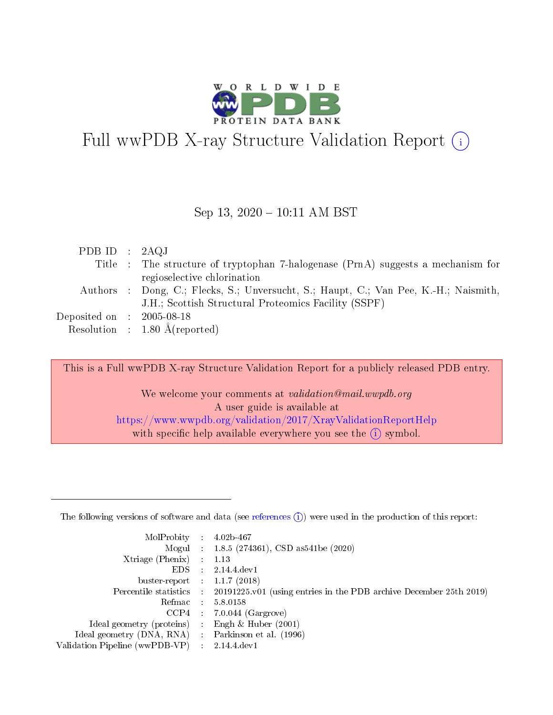

# Full wwPDB X-ray Structure Validation Report  $(i)$

### Sep 13, 2020 - 10:11 AM BST

| PDB ID : $2AQJ$                     |                                                                                      |
|-------------------------------------|--------------------------------------------------------------------------------------|
|                                     | Title : The structure of tryptophan 7-halogenese (PrnA) suggests a mechanism for     |
|                                     | regioselective chlorination                                                          |
|                                     | Authors : Dong, C.; Flecks, S.; Unversucht, S.; Haupt, C.; Van Pee, K.-H.; Naismith, |
|                                     | J.H.; Scottish Structural Proteomics Facility (SSPF)                                 |
| Deposited on $\,$ : 2005-08-18 $\,$ |                                                                                      |
|                                     | Resolution : $1.80 \text{ Å}$ (reported)                                             |

This is a Full wwPDB X-ray Structure Validation Report for a publicly released PDB entry.

We welcome your comments at validation@mail.wwpdb.org A user guide is available at <https://www.wwpdb.org/validation/2017/XrayValidationReportHelp> with specific help available everywhere you see the  $(i)$  symbol.

The following versions of software and data (see [references](https://www.wwpdb.org/validation/2017/XrayValidationReportHelp#references)  $(1)$ ) were used in the production of this report:

| MolProbity : 4.02b-467         |                 |                                                                              |
|--------------------------------|-----------------|------------------------------------------------------------------------------|
|                                |                 | Mogul : 1.8.5 (274361), CSD as 541be (2020)                                  |
| $X$ triage (Phenix) :          |                 | 1.13                                                                         |
| EDS.                           |                 | 2.14.4 dev1                                                                  |
| buster-report : $1.1.7$ (2018) |                 |                                                                              |
| Percentile statistics :        |                 | $20191225 \text{ v}01$ (using entries in the PDB archive December 25th 2019) |
| Refmac                         |                 | 5.8.0158                                                                     |
| CCP4                           |                 | $7.0.044$ (Gargrove)                                                         |
| Ideal geometry (proteins) :    |                 | Engh $\&$ Huber (2001)                                                       |
| Ideal geometry (DNA, RNA) :    |                 | Parkinson et al. (1996)                                                      |
| Validation Pipeline (wwPDB-VP) | $\mathcal{A}$ . | 2.14.4 dev1                                                                  |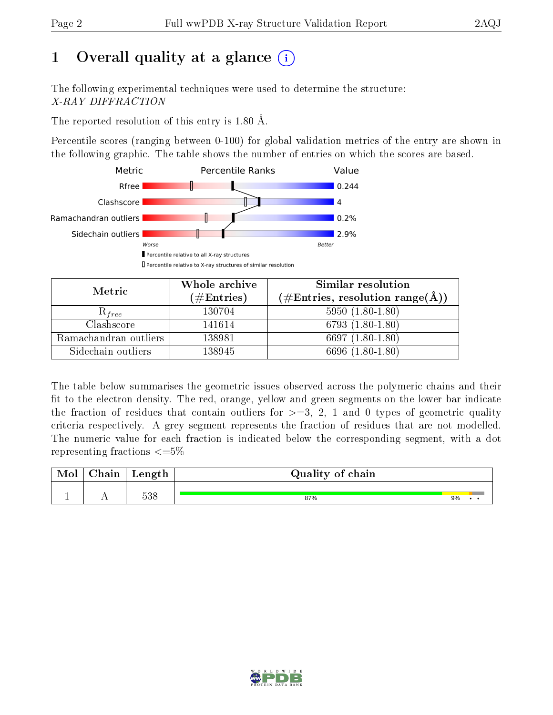# 1 [O](https://www.wwpdb.org/validation/2017/XrayValidationReportHelp#overall_quality)verall quality at a glance  $(i)$

The following experimental techniques were used to determine the structure: X-RAY DIFFRACTION

The reported resolution of this entry is 1.80 Å.

Percentile scores (ranging between 0-100) for global validation metrics of the entry are shown in the following graphic. The table shows the number of entries on which the scores are based.



| Metric                | Whole archive<br>$(\#\text{Entries})$ | Similar resolution<br>$(\#\text{Entries}, \text{resolution range}(\text{\AA}))$ |
|-----------------------|---------------------------------------|---------------------------------------------------------------------------------|
| $\mathcal{R}_{free}$  | 130704                                | $5950(1.80-1.80)$                                                               |
| Clashscore            | 141614                                | 6793 $(1.80-1.80)$                                                              |
| Ramachandran outliers | 138981                                | 6697 $(1.80-1.80)$                                                              |
| Sidechain outliers    | 138945                                | 6696 (1.80-1.80)                                                                |

The table below summarises the geometric issues observed across the polymeric chains and their fit to the electron density. The red, orange, yellow and green segments on the lower bar indicate the fraction of residues that contain outliers for  $>=3, 2, 1$  and 0 types of geometric quality criteria respectively. A grey segment represents the fraction of residues that are not modelled. The numeric value for each fraction is indicated below the corresponding segment, with a dot representing fractions  $\epsilon = 5\%$ 

| $\cap$ hoin<br>папг | Length | Quality of chain |    |  |
|---------------------|--------|------------------|----|--|
|                     | 538    | 87%              | 9% |  |

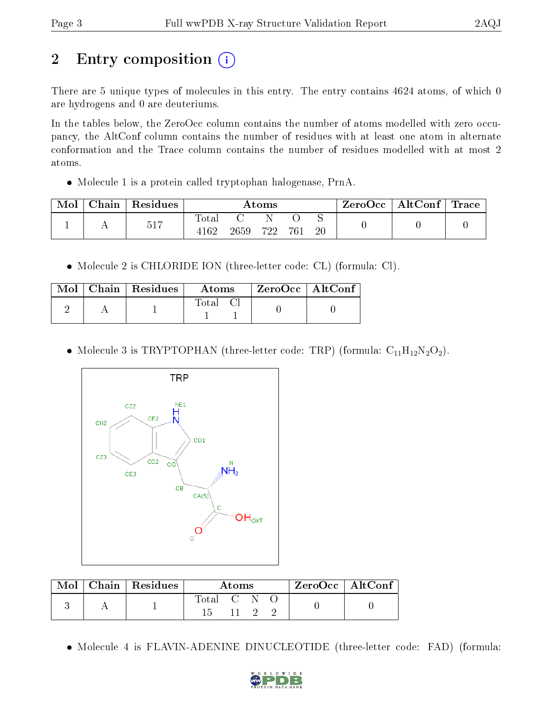# 2 Entry composition  $\left( \cdot \right)$

There are 5 unique types of molecules in this entry. The entry contains 4624 atoms, of which 0 are hydrogens and 0 are deuteriums.

In the tables below, the ZeroOcc column contains the number of atoms modelled with zero occupancy, the AltConf column contains the number of residues with at least one atom in alternate conformation and the Trace column contains the number of residues modelled with at most 2 atoms.

Molecule 1 is a protein called tryptophan halogenase, PrnA.

| Mol | Chain | Residues | $\rm{Atoms}$   |      |     |     | ZeroOcc | $\mid$ AltConf $\mid$ | $\operatorname{Trace}\nolimits$ |  |
|-----|-------|----------|----------------|------|-----|-----|---------|-----------------------|---------------------------------|--|
|     |       | 517      | l'otal<br>4162 | 2659 | 722 | 761 | 20      |                       |                                 |  |

Molecule 2 is CHLORIDE ION (three-letter code: CL) (formula: Cl).

|  | $\mid$ Chain $\mid$ Residues $\mid$ | Atoms | ZeroOcc   AltConf |
|--|-------------------------------------|-------|-------------------|
|  |                                     | Total |                   |

• Molecule 3 is TRYPTOPHAN (three-letter code: TRP) (formula:  $C_{11}H_{12}N_2O_2$ ).



| Mol | $\mid$ Chain $\mid$ Residues | Atoms     |  |  |  | $ZeroOcc \mid AltConf \mid$ |
|-----|------------------------------|-----------|--|--|--|-----------------------------|
|     |                              | Total C N |  |  |  |                             |

• Molecule 4 is FLAVIN-ADENINE DINUCLEOTIDE (three-letter code: FAD) (formula:

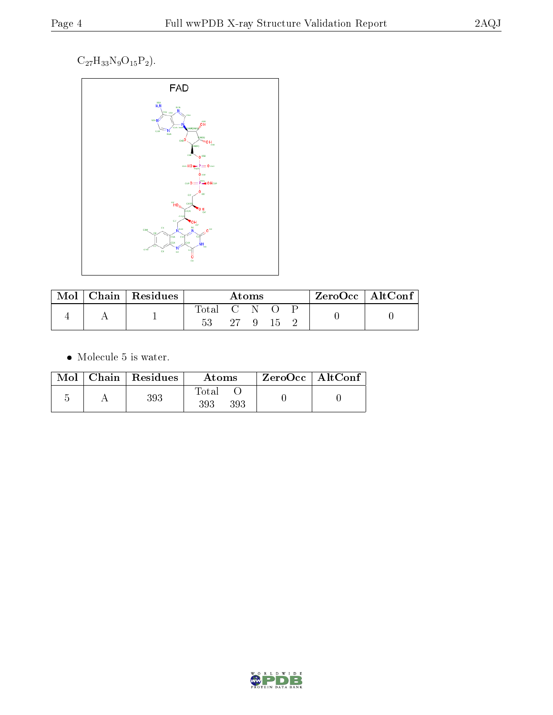### $\mathrm{C}_{27}\mathrm{H}_{33}\mathrm{N}_{9}\mathrm{O}_{15}\mathrm{P}_{2}\big).$



| Mol | Chain   Residues | Atoms             |    |                |    | $ZeroOcc \mid AltConf$ |  |
|-----|------------------|-------------------|----|----------------|----|------------------------|--|
|     |                  | Total C N O<br>53 | 27 | $\overline{9}$ | 15 |                        |  |

• Molecule 5 is water.

|  | $Mol$   Chain   Residues | Atoms                     | $ZeroOcc \mid AltConf \mid$ |
|--|--------------------------|---------------------------|-----------------------------|
|  | 393                      | $\rm Total$<br>393<br>393 |                             |

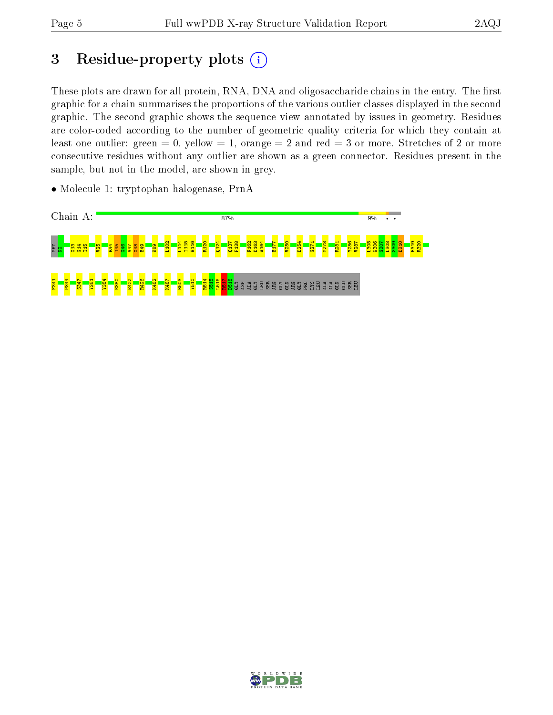# 3 Residue-property plots  $(i)$

These plots are drawn for all protein, RNA, DNA and oligosaccharide chains in the entry. The first graphic for a chain summarises the proportions of the various outlier classes displayed in the second graphic. The second graphic shows the sequence view annotated by issues in geometry. Residues are color-coded according to the number of geometric quality criteria for which they contain at least one outlier: green  $= 0$ , yellow  $= 1$ , orange  $= 2$  and red  $= 3$  or more. Stretches of 2 or more consecutive residues without any outlier are shown as a green connector. Residues present in the sample, but not in the model, are shown in grey.



• Molecule 1: tryptophan halogenase, PrnA

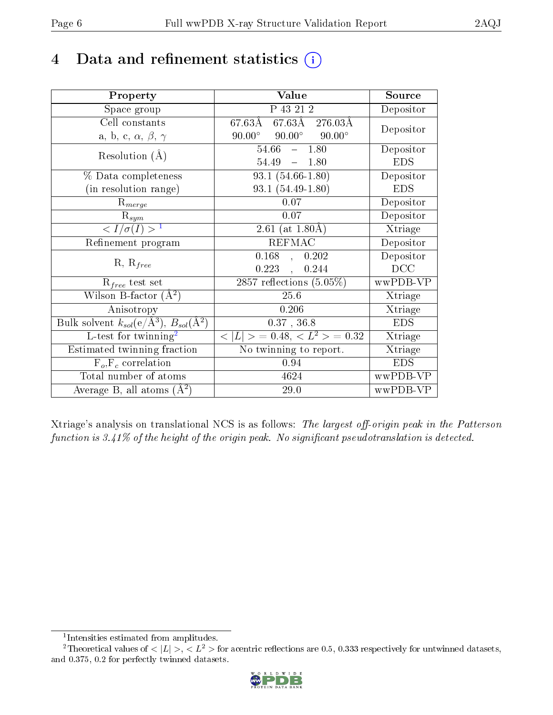# 4 Data and refinement statistics  $(i)$

| Property                                                         | Value                                            | Source     |
|------------------------------------------------------------------|--------------------------------------------------|------------|
| Space group                                                      | P 43 21 2                                        | Depositor  |
| Cell constants                                                   | $67.63\AA$ $67.63\AA$ $276.03\AA$                | Depositor  |
| a, b, c, $\alpha$ , $\beta$ , $\gamma$                           | $90.00^{\circ}$ $90.00^{\circ}$<br>$90.00^\circ$ |            |
| Resolution $(A)$                                                 | 54.66<br>$-1.80$                                 | Depositor  |
|                                                                  | 54.49<br>$-1.80$                                 | <b>EDS</b> |
| % Data completeness                                              | $93.1(54.66-1.80)$                               | Depositor  |
| (in resolution range)                                            | 93.1 (54.49-1.80)                                | <b>EDS</b> |
| $R_{merge}$                                                      | 0.07                                             | Depositor  |
| $\mathrm{R}_{sym}$                                               | 0.07                                             | Depositor  |
| $\sqrt{I/\sigma(I)} > 1$                                         | 2.61 (at $1.80\text{\AA}$ )                      | Xtriage    |
| Refinement program                                               | <b>REFMAC</b>                                    | Depositor  |
|                                                                  | $0.168$ ,<br>0.202                               | Depositor  |
| $R, R_{free}$                                                    | 0.223,<br>0.244                                  | DCC        |
| $R_{free}$ test set                                              | 2857 reflections $(5.05\%)$                      | wwPDB-VP   |
| Wilson B-factor $(A^2)$                                          | 25.6                                             | Xtriage    |
| Anisotropy                                                       | 0.206                                            | Xtriage    |
| Bulk solvent $k_{sol}(\text{e}/\text{A}^3), B_{sol}(\text{A}^2)$ | $0.37$ , 36.8                                    | <b>EDS</b> |
| L-test for $\mathrm{twinning}^2$                                 | $< L >$ = 0.48, $< L2 >$ = 0.32                  | Xtriage    |
| Estimated twinning fraction                                      | No twinning to report.                           | Xtriage    |
| $F_o, F_c$ correlation                                           | 0.94                                             | <b>EDS</b> |
| Total number of atoms                                            | 4624                                             | wwPDB-VP   |
| Average B, all atoms $(A^2)$                                     | 29.0                                             | wwPDB-VP   |

Xtriage's analysis on translational NCS is as follows: The largest off-origin peak in the Patterson function is  $3.41\%$  of the height of the origin peak. No significant pseudotranslation is detected.

<sup>&</sup>lt;sup>2</sup>Theoretical values of  $\langle |L| \rangle$ ,  $\langle L^2 \rangle$  for acentric reflections are 0.5, 0.333 respectively for untwinned datasets, and 0.375, 0.2 for perfectly twinned datasets.



<span id="page-5-1"></span><span id="page-5-0"></span><sup>1</sup> Intensities estimated from amplitudes.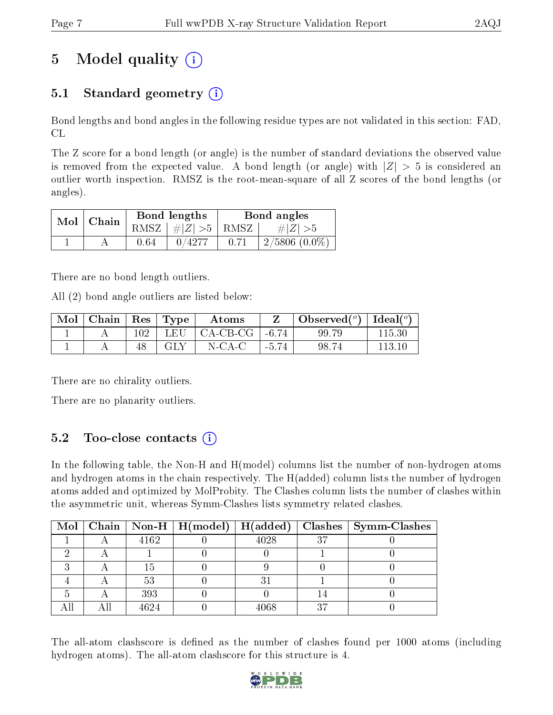# 5 Model quality  $(i)$

## 5.1 Standard geometry  $(i)$

Bond lengths and bond angles in the following residue types are not validated in this section: FAD, CL

The Z score for a bond length (or angle) is the number of standard deviations the observed value is removed from the expected value. A bond length (or angle) with  $|Z| > 5$  is considered an outlier worth inspection. RMSZ is the root-mean-square of all Z scores of the bond lengths (or angles).

| Mol | Chain |      | Bond lengths                   | Bond angles |                    |  |
|-----|-------|------|--------------------------------|-------------|--------------------|--|
|     |       |      | $RMSZ$ $\mid \# Z  > 5$   RMSZ |             | $\# Z  > 5$        |  |
|     |       | 0.64 | 0/4277                         | 0.71        | $2/5806$ $(0.0\%)$ |  |

There are no bond length outliers.

All (2) bond angle outliers are listed below:

| $\bf{Mol}$ | $\vert$ Chain $\vert$ Res $\vert$ Type $\vert$ |                  | Atoms                                 |         | Observed( $^{\circ}$ )   Ideal( $^{\circ}$ ) |        |
|------------|------------------------------------------------|------------------|---------------------------------------|---------|----------------------------------------------|--------|
|            |                                                | 102 <sub>1</sub> | └ LEU   CA-CB-CG   -6.74 <sub>+</sub> |         | 99.79                                        | 115.30 |
|            |                                                |                  | N-CA-C                                | $-5.74$ | 98.74                                        | 113 10 |

There are no chirality outliers.

There are no planarity outliers.

## 5.2 Too-close contacts  $(i)$

In the following table, the Non-H and H(model) columns list the number of non-hydrogen atoms and hydrogen atoms in the chain respectively. The H(added) column lists the number of hydrogen atoms added and optimized by MolProbity. The Clashes column lists the number of clashes within the asymmetric unit, whereas Symm-Clashes lists symmetry related clashes.

|  |      |      |    | Mol   Chain   Non-H   H(model)   H(added)   Clashes   Symm-Clashes |
|--|------|------|----|--------------------------------------------------------------------|
|  | 4162 | 4028 | 37 |                                                                    |
|  |      |      |    |                                                                    |
|  | 15   |      |    |                                                                    |
|  | 53   |      |    |                                                                    |
|  | 393  |      |    |                                                                    |
|  | 4624 | 4068 | 27 |                                                                    |

The all-atom clashscore is defined as the number of clashes found per 1000 atoms (including hydrogen atoms). The all-atom clashscore for this structure is 4.

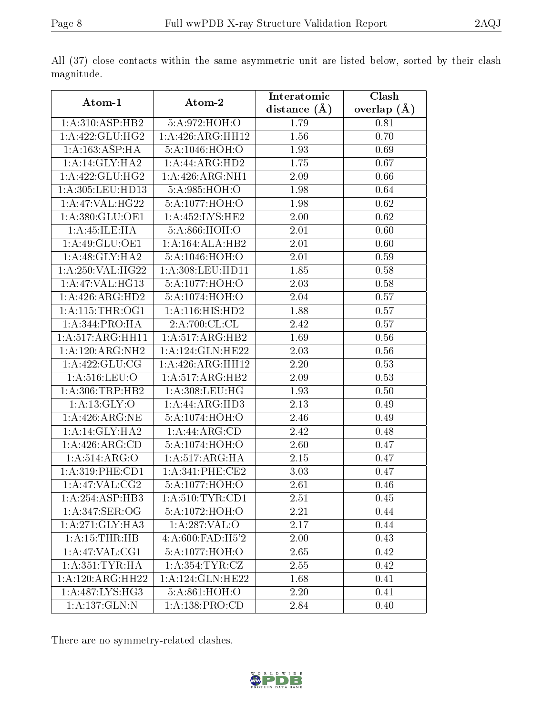| Atom-1                       | Atom-2                          | Interatomic    | Clash         |
|------------------------------|---------------------------------|----------------|---------------|
|                              |                                 | distance $(A)$ | overlap $(A)$ |
| 1: A:310: ASP:HB2            | 5:A:972:HOH:O                   | 1.79           | 0.81          |
| 1:A:422:GLU:HG2              | 1:A:426:ARG:HH12                | 1.56           | 0.70          |
| 1: A: 163: ASP:HA            | 5:A:1046:HOH:O                  | 1.93           | 0.69          |
| 1:A:14:GLY:HAZ               | 1:A:44:ARG:HD2                  | 1.75           | 0.67          |
| 1: A:422: GLU: HG2           | 1:A:426:ARG:NH1                 | 2.09           | 0.66          |
| 1:A:305:LEU:HD13             | 5:A:985:HOH:O                   | 1.98           | 0.64          |
| 1:A:47:VAL:HG22              | 5:A:1077:HOH:O                  | 1.98           | 0.62          |
| 1:A:380:GLU:OE1              | 1:A:452:LYS:HE2                 | 2.00           | 0.62          |
| 1:A:45:ILE:HA                | 5:A:866:HOH:O                   | 2.01           | 0.60          |
| 1:A:49:GLU:OE1               | 1:A:164:ALA:HB2                 | 2.01           | 0.60          |
| $1:A:48:GLY:H\overline{A2}$  | 5:A:1046:HOH:O                  | 2.01           | 0.59          |
| 1:A:250:VAL:HG22             | 1:A:308:LEU:HD11                | 1.85           | 0.58          |
| 1:A:47:VAL:HG13              | 5:A:1077:HOH:O                  | 2.03           | 0.58          |
| $1:A:426:ARG:\overline{HD2}$ | 5:A:1074:HOH:O                  | 2.04           | 0.57          |
| 1: A:115:THR:OG1             | 1:A:116:HIS:HD2                 | 1.88           | 0.57          |
| 1:A:344:PRO:HA               | 2:A:700:CL:CL                   | 2.42           | 0.57          |
| 1:A:517:ARG:HH11             | 1:A:517:ARG:HB2                 | 1.69           | $0.56\,$      |
| 1:A:120:ARG:NH2              | 1:A:124:GLN:HE22                | 2.03           | 0.56          |
| 1: A:422: GLU:CG             | 1:A:426:ARG:HH12                | 2.20           | 0.53          |
| 1: A:516:LEU:O               | 1:A:517:ARG:HB2                 | 2.09           | 0.53          |
| 1: A:306:TRP:HB2             | 1:A:308:LEU:HG                  | 1.93           | 0.50          |
| 1: A:13: GLY:O               | 1:A:44:ARG:HD3                  | 2.13           | 0.49          |
| 1: A:426:ARG:NE              | 5:A:1074:HOH:O                  | 2.46           | 0.49          |
| 1:A:14:GLY:HA2               | 1:A:44:ARG:CD                   | 2.42           | 0.48          |
| 1:A:426:ARG:CD               | 5:A:1074:HOH:O                  | 2.60           | 0.47          |
| 1:A:514:ARG:O                | 1:A:517:ARG:HA                  | 2.15           | 0.47          |
| 1: A:319: PHE:CD1            | 1:A:341:PHE:CE2                 | 3.03           | 0.47          |
| 1:A:47:VAL:CG2               | 5:A:1077:HOH:O                  | 2.61           | 0.46          |
| 1:A:254:ASP:HB3              | 1: A:510: TYR: CD1              | 2.51           | 0.45          |
| 1:A:347:SER:OG               | 5:A:1072:HOH:O                  | 2.21           | 0.44          |
| 1: A:271: GLY:HA3            | 1:A:287:VAL:O                   | 2.17           | 0.44          |
| $1: A: 15: THR: HB$          | 4:A:600:FAD:H5'2                | 2.00           | 0.43          |
| 1:A:47:VAL:CG1               | 5:A:1077:HOH:O                  | 2.65           | 0.42          |
| 1: A: 351: TYR: HA           | $1: A: 354: TYR: \overline{CZ}$ | 2.55           | 0.42          |
| 1:A:120:ARG:HH22             | 1: A:124: GLN: HE22             | 1.68           | 0.41          |
| 1:A:487:LYS:HG3              | 5:A:861:HOH:O                   | 2.20           | 0.41          |
| 1: A: 137: GLN:N             | 1:A:138:PRO:CD                  | 2.84           | 0.40          |

All (37) close contacts within the same asymmetric unit are listed below, sorted by their clash magnitude.

There are no symmetry-related clashes.

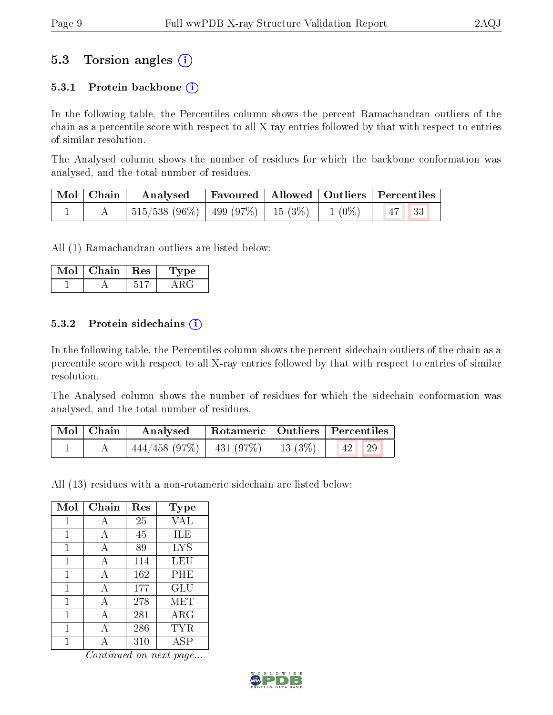## 5.3 Torsion angles (i)

### 5.3.1 Protein backbone  $(i)$

In the following table, the Percentiles column shows the percent Ramachandran outliers of the chain as a percentile score with respect to all X-ray entries followed by that with respect to entries of similar resolution.

The Analysed column shows the number of residues for which the backbone conformation was analysed, and the total number of residues.

| Mol   Chain | $\boldsymbol{\mathrm{Analysed}}$             |  | Favoured   Allowed   Outliers   Percentiles |  |
|-------------|----------------------------------------------|--|---------------------------------------------|--|
|             | 515/538 (96%)   499 (97%)   15 (3%)   1 (0%) |  | $47 \overline{\smash{\big)}\ 33}$           |  |

All (1) Ramachandran outliers are listed below:

| Mol | Chain | $\parallel$ Res | Type: |
|-----|-------|-----------------|-------|
|     |       |                 |       |

### 5.3.2 Protein sidechains  $(i)$

In the following table, the Percentiles column shows the percent sidechain outliers of the chain as a percentile score with respect to all X-ray entries followed by that with respect to entries of similar resolution.

The Analysed column shows the number of residues for which the sidechain conformation was analysed, and the total number of residues.

| $\mid$ Mol $\mid$ Chain $\mid$ | Analysed                                 |  | Rotameric   Outliers   Percentiles |  |
|--------------------------------|------------------------------------------|--|------------------------------------|--|
|                                | $444/458$ (97\%)   431 (97\%)   13 (3\%) |  | $\vert 42 \vert \vert 29 \vert$    |  |

All (13) residues with a non-rotameric sidechain are listed below:

| Mol | Chain        | Res | Type       |
|-----|--------------|-----|------------|
| 1   | А            | 25  | VAL        |
| 1   | А            | 45  | ILE        |
| 1   | А            | 89  | <b>LYS</b> |
| 1   | A            | 114 | LEU        |
| 1   | А            | 162 | PHE        |
| 1   | А            | 177 | GLU        |
| 1   | $\mathbf{A}$ | 278 | MET        |
| 1   | A            | 281 | $\rm{ARG}$ |
| 1   | А            | 286 | TYR        |
|     |              | 310 | ASP        |

Continued on next page...

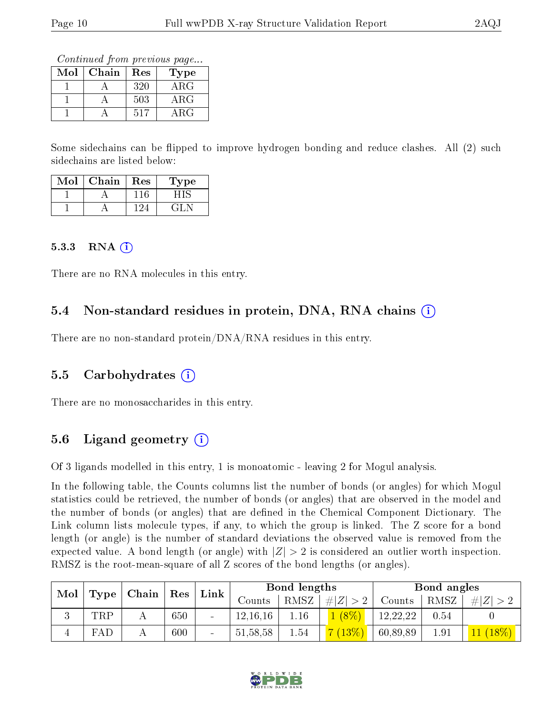Continued from previous page...

| $\operatorname{Mol}$ | Chain | Res | Type        |
|----------------------|-------|-----|-------------|
|                      |       | 320 | $\rm{ARG}$  |
|                      |       | 503 | ${\rm ARG}$ |
|                      |       | 517 | ARG         |

Some sidechains can be flipped to improve hydrogen bonding and reduce clashes. All (2) such sidechains are listed below:

| Mol | Chain | Res | Type |
|-----|-------|-----|------|
|     |       | 116 |      |
|     |       |     | GLN  |

#### 5.3.3 RNA  $(i)$

There are no RNA molecules in this entry.

### 5.4 Non-standard residues in protein, DNA, RNA chains (i)

There are no non-standard protein/DNA/RNA residues in this entry.

### 5.5 Carbohydrates (i)

There are no monosaccharides in this entry.

### 5.6 Ligand geometry  $(i)$

Of 3 ligands modelled in this entry, 1 is monoatomic - leaving 2 for Mogul analysis.

In the following table, the Counts columns list the number of bonds (or angles) for which Mogul statistics could be retrieved, the number of bonds (or angles) that are observed in the model and the number of bonds (or angles) that are defined in the Chemical Component Dictionary. The Link column lists molecule types, if any, to which the group is linked. The Z score for a bond length (or angle) is the number of standard deviations the observed value is removed from the expected value. A bond length (or angle) with  $|Z| > 2$  is considered an outlier worth inspection. RMSZ is the root-mean-square of all Z scores of the bond lengths (or angles).

| Mol |             | $\mid$ Chain $\mid$ |                      | $\mathop{\rm Link}\nolimits$ |            | Bond lengths |         |          | Bond angles |         |  |
|-----|-------------|---------------------|----------------------|------------------------------|------------|--------------|---------|----------|-------------|---------|--|
|     | Type        |                     | $\operatorname{Res}$ |                              | Counts     | RMSZ         | # Z     | Counts   | RMSZ        | Z       |  |
| k)  | TRP         |                     | 650                  | $\qquad \qquad \blacksquare$ | 12,16,16   | 1.16         | $(8\%)$ | 12,22,22 | 0.54        |         |  |
|     | ${\rm FAL}$ |                     | 600                  | $\overline{\phantom{0}}$     | 51, 58, 58 | 1.54         | (13%)   | 60,89,89 | 1.91        | $18\%)$ |  |

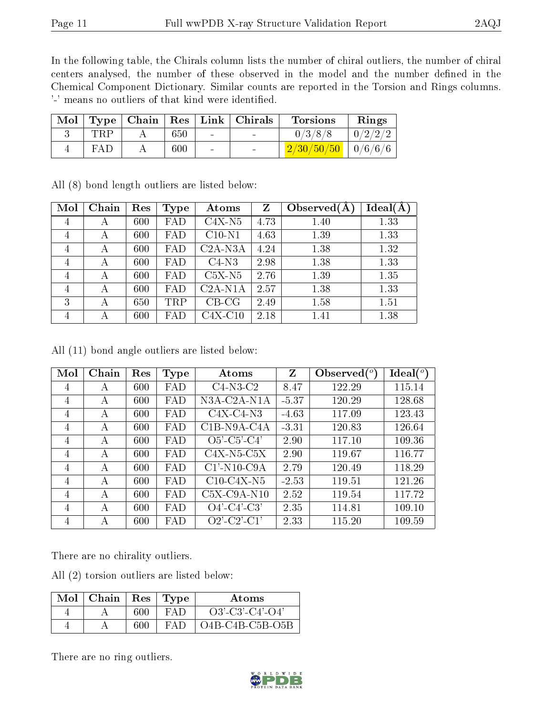In the following table, the Chirals column lists the number of chiral outliers, the number of chiral centers analysed, the number of these observed in the model and the number defined in the Chemical Component Dictionary. Similar counts are reported in the Torsion and Rings columns. '-' means no outliers of that kind were identified.

| Mol |            |         |        | $\top$ Type   Chain   Res   Link   Chirals | <b>Torsions</b>                                       | Rings   |
|-----|------------|---------|--------|--------------------------------------------|-------------------------------------------------------|---------|
|     | <b>TRP</b> | 650     | $\sim$ |                                            | 0/3/8/8                                               | 0/2/2/2 |
|     | FAD        | $600\,$ | $\sim$ |                                            | $\left[ \frac{2}{30} \right] \frac{50}{50}$   0/6/6/6 |         |

All (8) bond length outliers are listed below:

| Mol | Chain | Res | Type | Atoms     | Z    | Observed $(A$ | Ideal(A) |
|-----|-------|-----|------|-----------|------|---------------|----------|
| 4   | А     | 600 | FAD  | $C4X-N5$  | 4.73 | 1.40          | 1.33     |
| 4   | А     | 600 | FAD  | $C10-N1$  | 4.63 | 1.39          | 1.33     |
| 4   | А     | 600 | FAD  | $C2A-NSA$ | 4.24 | 1.38          | 1.32     |
| 4   | А     | 600 | FAD  | $C4-N3$   | 2.98 | 1.38          | 1.33     |
| 4   | А     | 600 | FAD  | $C5X-N5$  | 2.76 | 1.39          | 1.35     |
| 4   | А     | 600 | FAD  | $C2A-N1A$ | 2.57 | 1.38          | 1.33     |
| 3   | А     | 650 | TRP  | $CB-CG$   | 2.49 | 1.58          | 1.51     |
| 4   | А     | 600 | FAD  | $C4X-C10$ | 2.18 | 1.41          | 1.38     |

All (11) bond angle outliers are listed below:

| Mol            | Chain | Res | <b>Type</b> | Atoms                                    | Z       | Observed $(°)$ | $\text{Ideal}({}^o)$ |
|----------------|-------|-----|-------------|------------------------------------------|---------|----------------|----------------------|
| 4              | А     | 600 | FAD         | $C4-N3-C2$                               | 8.47    | 122.29         | 115.14               |
| 4              | А     | 600 | FAD         | N3A-C2A-N1A                              | $-5.37$ | 120.29         | 128.68               |
| 4              | А     | 600 | FAD         | $C4X-C4-N3$                              | $-4.63$ | 117.09         | 123.43               |
| 4              | А     | 600 | FAD         | $C1B-N9A-C4A$                            | $-3.31$ | 120.83         | 126.64               |
| 4              | А     | 600 | FAD         | $O5'-C5'-C4'$                            | 2.90    | 117.10         | 109.36               |
| $\overline{4}$ | A     | 600 | FAD         | $C4X-N5-C5X$                             | 2.90    | 119.67         | 116.77               |
| 4              | А     | 600 | FAD         | $C1'$ -N <sub>10</sub> -C <sub>9</sub> A | 2.79    | 120.49         | 118.29               |
| 4              | А     | 600 | FAD         | $C10-C4X-N5$                             | $-2.53$ | 119.51         | 121.26               |
| 4              | А     | 600 | FAD         | $C5X-C9A-N10$                            | 2.52    | 119.54         | 117.72               |
| 4              | А     | 600 | FAD         | $O4'$ -C4'-C3'                           | 2.35    | 114.81         | 109.10               |
| 4              | А     | 600 | FAD         | $O2'$ -C2'-C1'                           | 2.33    | 115.20         | 109.59               |

There are no chirality outliers.

All (2) torsion outliers are listed below:

| $Mol$   Chain | Res | Type   | Atoms             |
|---------------|-----|--------|-------------------|
|               | 600 | $FA$ D | $O3'-C3'-C4'-O4'$ |
|               | 600 | $FA$ D | $O4B-C4B-C5B-O5B$ |

There are no ring outliers.

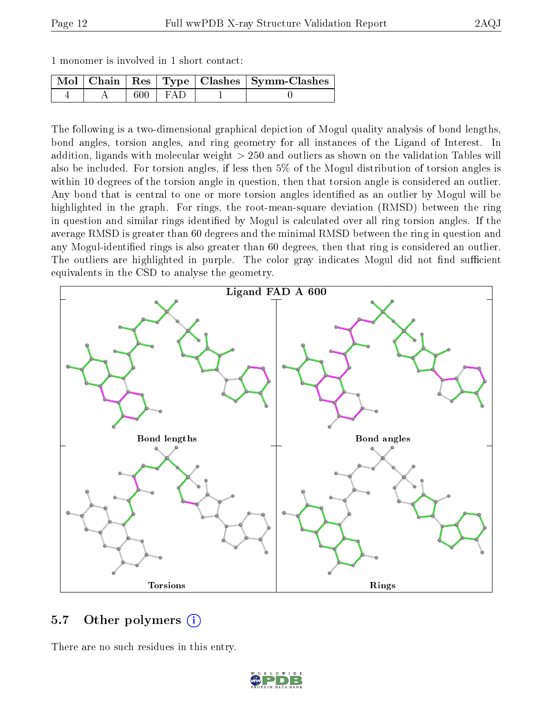|  | 1 monomer is involved in 1 short contact: |  |  |  |  |  |  |
|--|-------------------------------------------|--|--|--|--|--|--|
|--|-------------------------------------------|--|--|--|--|--|--|

|  |     |       | Mol   Chain   Res   Type   Clashes   Symm-Clashes |
|--|-----|-------|---------------------------------------------------|
|  | 600 | I FAD |                                                   |

The following is a two-dimensional graphical depiction of Mogul quality analysis of bond lengths, bond angles, torsion angles, and ring geometry for all instances of the Ligand of Interest. In addition, ligands with molecular weight > 250 and outliers as shown on the validation Tables will also be included. For torsion angles, if less then 5% of the Mogul distribution of torsion angles is within 10 degrees of the torsion angle in question, then that torsion angle is considered an outlier. Any bond that is central to one or more torsion angles identified as an outlier by Mogul will be highlighted in the graph. For rings, the root-mean-square deviation (RMSD) between the ring in question and similar rings identified by Mogul is calculated over all ring torsion angles. If the average RMSD is greater than 60 degrees and the minimal RMSD between the ring in question and any Mogul-identied rings is also greater than 60 degrees, then that ring is considered an outlier. The outliers are highlighted in purple. The color gray indicates Mogul did not find sufficient equivalents in the CSD to analyse the geometry.



### 5.7 [O](https://www.wwpdb.org/validation/2017/XrayValidationReportHelp#nonstandard_residues_and_ligands)ther polymers (i)

There are no such residues in this entry.

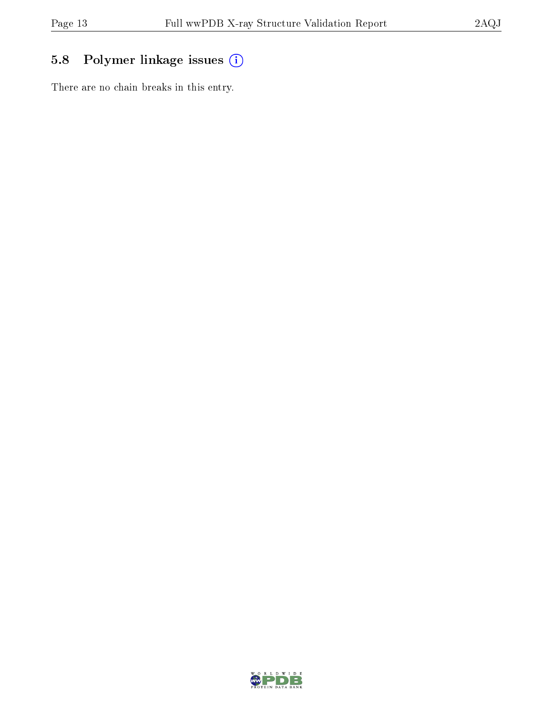## 5.8 Polymer linkage issues (i)

There are no chain breaks in this entry.

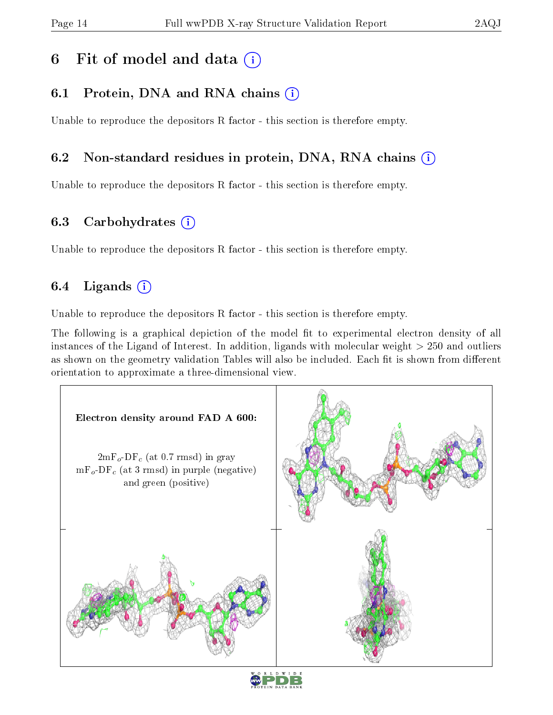## 6 Fit of model and data  $(i)$

## 6.1 Protein, DNA and RNA chains (i)

Unable to reproduce the depositors R factor - this section is therefore empty.

### 6.2 Non-standard residues in protein, DNA, RNA chains (i)

Unable to reproduce the depositors R factor - this section is therefore empty.

### 6.3 Carbohydrates (i)

Unable to reproduce the depositors R factor - this section is therefore empty.

## 6.4 Ligands  $(i)$

Unable to reproduce the depositors R factor - this section is therefore empty.

The following is a graphical depiction of the model fit to experimental electron density of all instances of the Ligand of Interest. In addition, ligands with molecular weight > 250 and outliers as shown on the geometry validation Tables will also be included. Each fit is shown from different orientation to approximate a three-dimensional view.